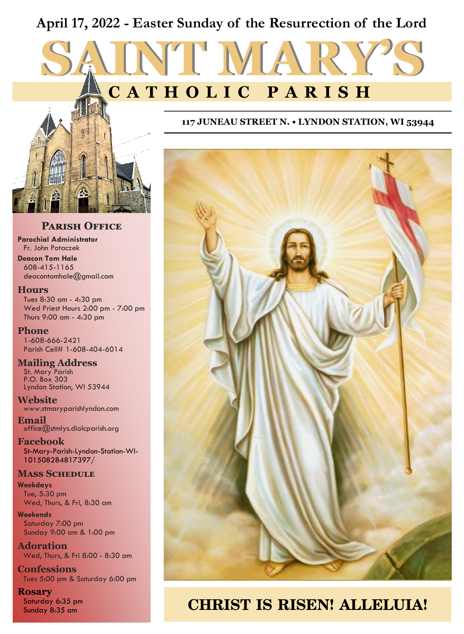# **April 17, 2022 - Easter Sunday of the Resurrection of the Lord**

# **SAINT MARY'S C A T H O L I C P A R I S H**



## **Parish Office**

**Parochial Administrator** Fr. John Potaczek **Deacon Tom Hale** 608-415-1165

deacontomhale@gmail.com

#### **Hours**

Tues 8:30 am - 4:30 pm Wed Priest Hours 2:00 pm - 7:00 pm Thurs 9:00 am - 4:30 pm

**Phone** 1-608-666-2421 Parish Cell# 1-608-404-6014

#### **Mailing Address**

St. Mary Parish P.O. Box 303 Lyndon Station, WI 53944

**Website** www.stmaryparishlyndon.com

**Email** office@stmlys.diolcparish.org

**Facebook** St-Mary-Parish-Lyndon-Station-WI-101508284817397/

#### **Mass Schedule**

**Weekdays** Tue, 5:30 pm Wed, Thurs, & Fri, 8:30 am

**Weekends** Saturday 7:00 pm Sunday 9:00 am & 1:00 pm

**Adoration** Wed, Thurs, & Fri 8:00 - 8:30 am

**Confessions** Tues 5:00 pm & Saturday 6:00 pm

#### **Rosary** Saturday 6:35 pm

#### **117 JUNEAU STREET N. • LYNDON STATION, WI 53944**



# Saturday 6:35 pm<br>Sunday 8:35 am **CHRIST IS RISEN! ALLELUIA!**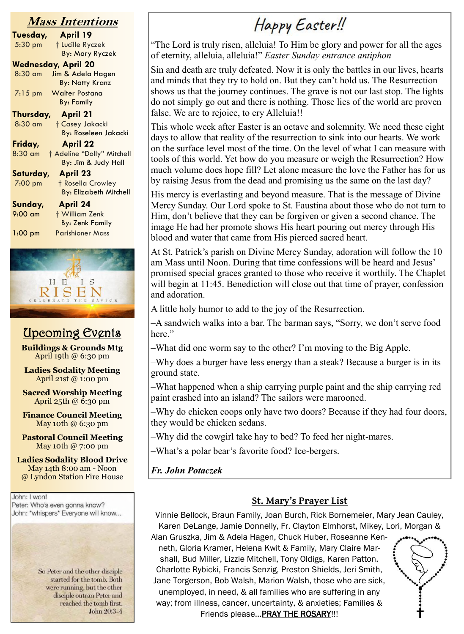# **Mass Intentions**

| lass intentions              |                               |  |  |
|------------------------------|-------------------------------|--|--|
| Tuesday,                     | <b>April 19</b>               |  |  |
| $5:30$ pm                    | † Lucille Ryczek              |  |  |
|                              | <b>By: Mary Ryczek</b>        |  |  |
|                              | Wednesday, April 20           |  |  |
| 8:30 am                      | Jim & Adela Hagen             |  |  |
|                              | <b>By: Natty Kranz</b>        |  |  |
| $7:15$ pm                    | <b>Walter Postana</b>         |  |  |
|                              | <b>By: Family</b>             |  |  |
| Thursday, April 21           |                               |  |  |
| 8:30 am                      | <b>† Casey Jakacki</b>        |  |  |
|                              | <b>By: Roseleen Jakacki</b>   |  |  |
| Friday,                      | <b>April 22</b>               |  |  |
| 8:30 am                      | † Adeline "Dolly" Mitchell    |  |  |
|                              | By: Jim & Judy Hall           |  |  |
| <b>April 23</b><br>Saturday, |                               |  |  |
| 7:00 pm                      | † Rosella Crowley             |  |  |
|                              | <b>By: Elizabeth Mitchell</b> |  |  |
| Sunday,                      | <b>April 24</b>               |  |  |
| $9:00$ am                    | + William Zenk                |  |  |
|                              | <b>By: Zenk Family</b>        |  |  |
| $1:00$ pm                    | <b>Parishioner Mass</b>       |  |  |
|                              |                               |  |  |



# Upcoming Events

**Buildings & Grounds Mtg** April 19th @ 6:30 pm

**Ladies Sodality Meeting** April 21st @ 1:00 pm

**Sacred Worship Meeting** April 25th @ 6:30 pm

**Finance Council Meeting** May 10th @ 6:30 pm

**Pastoral Council Meeting** May 10th @ 7:00 pm

**Ladies Sodality Blood Drive** May 14th 8:00 am - Noon @ Lyndon Station Fire House

John: I won! Peter: Who's even gonna know? John: \*whispers\* Everyone will know...

> So Peter and the other disciple started for the tomb. Both were running, but the other disciple outran Peter and reached the tomb first. John 20:3-4

# Happy Easter!!

"The Lord is truly risen, alleluia! To Him be glory and power for all the ages of eternity, alleluia, alleluia!" *Easter Sunday entrance antiphon* 

Sin and death are truly defeated. Now it is only the battles in our lives, hearts and minds that they try to hold on. But they can't hold us. The Resurrection shows us that the journey continues. The grave is not our last stop. The lights do not simply go out and there is nothing. Those lies of the world are proven false. We are to rejoice, to cry Alleluia!!

This whole week after Easter is an octave and solemnity. We need these eight days to allow that reality of the resurrection to sink into our hearts. We work on the surface level most of the time. On the level of what I can measure with tools of this world. Yet how do you measure or weigh the Resurrection? How much volume does hope fill? Let alone measure the love the Father has for us by raising Jesus from the dead and promising us the same on the last day?

His mercy is everlasting and beyond measure. That is the message of Divine Mercy Sunday. Our Lord spoke to St. Faustina about those who do not turn to Him, don't believe that they can be forgiven or given a second chance. The image He had her promote shows His heart pouring out mercy through His blood and water that came from His pierced sacred heart.

At St. Patrick's parish on Divine Mercy Sunday, adoration will follow the 10 am Mass until Noon. During that time confessions will be heard and Jesus' promised special graces granted to those who receive it worthily. The Chaplet will begin at 11:45. Benediction will close out that time of prayer, confession and adoration.

A little holy humor to add to the joy of the Resurrection.

–A sandwich walks into a bar. The barman says, "Sorry, we don't serve food here."

–What did one worm say to the other? I'm moving to the Big Apple.

–Why does a burger have less energy than a steak? Because a burger is in its ground state.

–What happened when a ship carrying purple paint and the ship carrying red paint crashed into an island? The sailors were marooned.

–Why do chicken coops only have two doors? Because if they had four doors, they would be chicken sedans.

–Why did the cowgirl take hay to bed? To feed her night-mares.

–What's a polar bear's favorite food? Ice-bergers.

*Fr. John Potaczek*

# **St. Mary's Prayer List**

Vinnie Bellock, Braun Family, Joan Burch, Rick Bornemeier, Mary Jean Cauley, Karen DeLange, Jamie Donnelly, Fr. Clayton Elmhorst, Mikey, Lori, Morgan &

Alan Gruszka, Jim & Adela Hagen, Chuck Huber, Roseanne Kenneth, Gloria Kramer, Helena Kwit & Family, Mary Claire Marshall, Bud Miller, Lizzie Mitchell, Tony Oldigs, Karen Patton, Charlotte Rybicki, Francis Senzig, Preston Shields, Jeri Smith, Jane Torgerson, Bob Walsh, Marion Walsh, those who are sick, unemployed, in need, & all families who are suffering in any way; from illness, cancer, uncertainty, & anxieties; Families & Friends please... PRAY THE ROSARY!!!

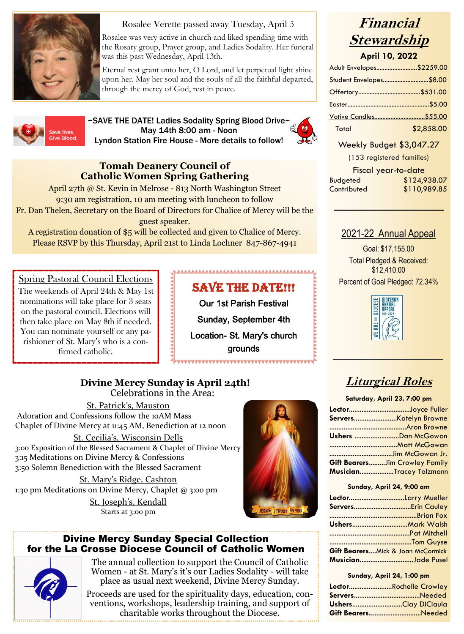

# Rosalee Verette passed away Tuesday, April 5

Rosalee was very active in church and liked spending time with the Rosary group, Prayer group, and Ladies Sodality. Her funeral was this past Wednesday, April 13th.

Eternal rest grant unto her, O Lord, and let perpetual light shine upon her. May her soul and the souls of all the faithful departed, through the mercy of God, rest in peace.



~SAVE THE DATE! Ladies Sodality Spring Blood Drive~ May 14th 8:00 am - Noon Lyndon Station Fire House - More details to follow!



# **Tomah Deanery Council of Catholic Women Spring Gathering**

April 27th @ St. Kevin in Melrose - 813 North Washington Street 9:30 am registration, 10 am meeting with luncheon to follow Fr. Dan Thelen, Secretary on the Board of Directors for Chalice of Mercy will be the guest speaker.

A registration donation of \$5 will be collected and given to Chalice of Mercy. Please RSVP by this Thursday, April 21st to Linda Lochner 847-867-4941

Spring Pastoral Council Elections<br>
The weekends of April 24th & May 1st<br>
nominations will take place for 3 seats<br>
our 1st Parish Festival<br>
then take place on May 8th if needed.<br>
You can nominate yourself or any particular The weekends of April 24th & May 1st nominations will take place for 3 seats on the pastoral council. Elections will then take place on May 8th if needed. You can nominate yourself or any parishioner of St. Mary's who is a confirmed catholic.

# SAVE THE DATE!!!

Our 1st Parish Festival Sunday, September 4th Location- St. Mary's church grounds

**Divine Mercy Sunday is April 24th!** Celebrations in the Area:

St. Patrick's, Mauston Adoration and Confessions follow the 10AM Mass Chaplet of Divine Mercy at 11:45 AM, Benediction at 12 noon St. Cecilia's, Wisconsin Dells

3:00 Exposition of the Blessed Sacrament & Chaplet of Divine Mercy 3:15 Meditations on Divine Mercy & Confessions 3:50 Solemn Benediction with the Blessed Sacrament

St. Mary's Ridge, Cashton 1:30 pm Meditations on Divine Mercy, Chaplet @ 3:00 pm St. Joseph's, Kendall Starts at 3:00 pm



## Divine Mercy Sunday Special Collection for the La Crosse Diocese Council of Catholic Women



The annual collection to support the Council of Catholic Women - at St. Mary's it's our Ladies Sodality - will take place as usual next weekend, Divine Mercy Sunday.

Proceeds are used for the spirituality days, education, conventions, workshops, leadership training, and support of charitable works throughout the Diocese.

# **Financial Stewardship**

**April 10, 2022**

| Adult Envelopes\$2259.00      |
|-------------------------------|
| Student Envelopes\$8.00       |
|                               |
|                               |
| <u> Votive Candles\$55.00</u> |
| \$2,858.00                    |
|                               |

## Weekly Budget \$3,047.27

(153 registered families)

|                 | Fiscal year-to-date |
|-----------------|---------------------|
| <b>Budgeted</b> | \$124,938.07        |
| Contributed     | \$110,989.85        |

# 2021-22 Annual Appeal

Goal: \$17,155.00 Total Pledged & Received: \$12,410.00



# **Liturgical Roles**

**Saturday, April 23, 7:00 pm**

| LectorJoyce Fuller                    |  |
|---------------------------------------|--|
|                                       |  |
|                                       |  |
| Ushers Dan McGowan                    |  |
|                                       |  |
|                                       |  |
| <b>Gift BearersJim Crowley Family</b> |  |
| MusicianTracey Tolzmann               |  |
|                                       |  |

#### **Sunday, April 24, 9:00 am**

| LectorLarry Mueller               |  |
|-----------------------------------|--|
|                                   |  |
|                                   |  |
|                                   |  |
|                                   |  |
|                                   |  |
| Gift BearersMick & Joan McCormick |  |
| MusicianJade Pusel                |  |
|                                   |  |

#### **Sunday, April 24, 1:00 pm**

| LectorRochelle Crowley |
|------------------------|
|                        |
| UshersClay DiCiaula    |
| Gift BearersNeeded     |
|                        |